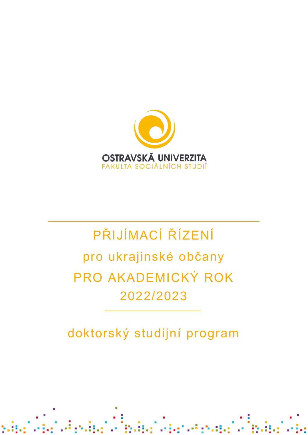

# PŘIJÍMACÍ ŘÍZENÍ pro ukrajinské občany PRO AKADEMICKÝ ROK 2022/2023

doktorský studijní program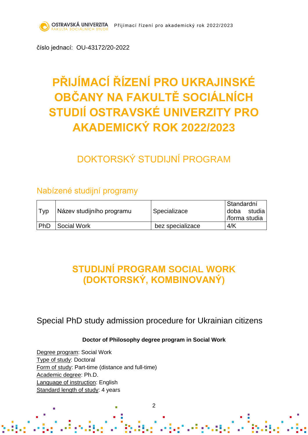číslo jednací: OU-43172/20-2022

## **PŘIJÍMACÍ ŘÍZENÍ PRO UKRAJINSKÉ OBČANY NA FAKULTĚ SOCIÁLNÍCH STUDIÍ OSTRAVSKÉ UNIVERZITY PRO AKADEMICKÝ ROK 2022/2023**

## DOKTORSKÝ STUDIJNÍ PROGRAM

### Nabízené studijní programy

| Typ | Název studijního programu | Specializace     | l Standardní   |
|-----|---------------------------|------------------|----------------|
|     |                           |                  | studia<br>doba |
|     |                           |                  | /forma studia  |
| PhD | Social Work               | bez specializace | 4/K            |

## **STUDIJNÍ PROGRAM SOCIAL WORK (DOKTORSKÝ, KOMBINOVANÝ)**

Special PhD study admission procedure for Ukrainian citizens

#### **Doctor of Philosophy degree program in Social Work**

Degree program: Social Work Type of study: Doctoral Form of study: Part-time (distance and full-time) Academic degree: Ph.D. Language of instruction: English Standard length of study: 4 years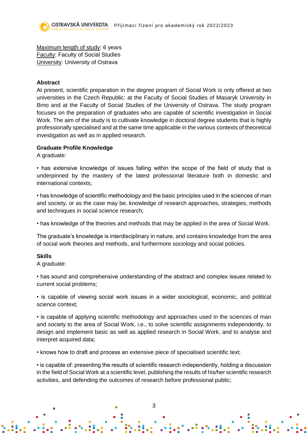Maximum length of study: 6 years Faculty: Faculty of Social Studies University: University of Ostrava

#### **Abstract**

At present, scientific preparation in the degree program of Social Work is only offered at two universities in the Czech Republic: at the Faculty of Social Studies of Masaryk University in Brno and at the Faculty of Social Studies of the University of Ostrava. The study program focuses on the preparation of graduates who are capable of scientific investigation in Social Work. The aim of the study is to cultivate knowledge in doctoral degree students that is highly professionally specialised and at the same time applicable in the various contexts of theoretical investigation as well as in applied research.

#### **Graduate Profile Knowledge**

A graduate:

• has extensive knowledge of issues falling within the scope of the field of study that is underpinned by the mastery of the latest professional literature both in domestic and international contexts;

• has knowledge of scientific methodology and the basic principles used in the sciences of man and society, or as the case may be, knowledge of research approaches, strategies, methods and techniques in social science research;

• has knowledge of the theories and methods that may be applied in the area of Social Work.

The graduate's knowledge is interdisciplinary in nature, and contains knowledge from the area of social work theories and methods, and furthermore sociology and social policies.

#### **Skills**

A graduate:

• has sound and comprehensive understanding of the abstract and complex issues related to current social problems;

• is capable of viewing social work issues in a wider sociological, economic, and political science context;

• is capable of applying scientific methodology and approaches used in the sciences of man and society to the area of Social Work, i.e., to solve scientific assignments independently, to design and implement basic as well as applied research in Social Work, and to analyse and interpret acquired data;

• knows how to draft and process an extensive piece of specialised scientific text;

• is capable of: presenting the results of scientific research independently, holding a discussion in the field of Social Work at a scientific level, publishing the results of his/her scientific research activities, and defending the outcomes of research before professional public;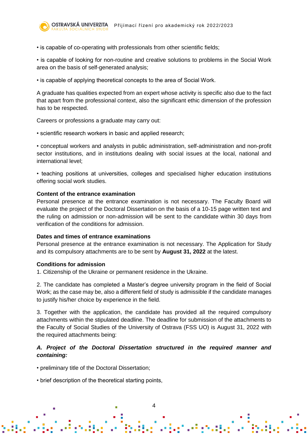• is capable of co-operating with professionals from other scientific fields;

• is capable of looking for non-routine and creative solutions to problems in the Social Work area on the basis of self-generated analysis;

• is capable of applying theoretical concepts to the area of Social Work.

A graduate has qualities expected from an expert whose activity is specific also due to the fact that apart from the professional context, also the significant ethic dimension of the profession has to be respected.

Careers or professions a graduate may carry out:

• scientific research workers in basic and applied research;

• conceptual workers and analysts in public administration, self-administration and non-profit sector institutions, and in institutions dealing with social issues at the local, national and international level;

• teaching positions at universities, colleges and specialised higher education institutions offering social work studies.

#### **Content of the entrance examination**

Personal presence at the entrance examination is not necessary. The Faculty Board will evaluate the project of the Doctoral Dissertation on the basis of a 10-15 page written text and the ruling on admission or non-admission will be sent to the candidate within 30 days from verification of the conditions for admission.

#### **Dates and times of entrance examinations**

Personal presence at the entrance examination is not necessary. The Application for Study and its compulsory attachments are to be sent by **August 31, 2022** at the latest.

#### **Conditions for admission**

1. Citizenship of the Ukraine or permanent residence in the Ukraine.

2. The candidate has completed a Master's degree university program in the field of Social Work; as the case may be, also a different field of study is admissible if the candidate manages to justify his/her choice by experience in the field.

3. Together with the application, the candidate has provided all the required compulsory attachments within the stipulated deadline. The deadline for submission of the attachments to the Faculty of Social Studies of the University of Ostrava (FSS UO) is August 31, 2022 with the required attachments being:

#### *A. Project of the Doctoral Dissertation structured in the required manner and containing:*

• preliminary title of the Doctoral Dissertation;

• brief description of the theoretical starting points,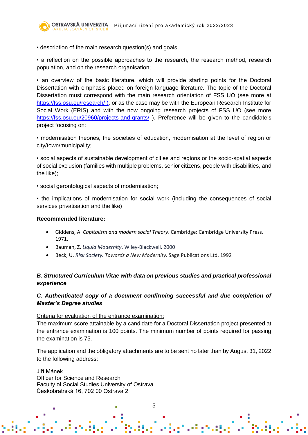• description of the main research question(s) and goals;

• a reflection on the possible approaches to the research, the research method, research population, and on the research organisation;

• an overview of the basic literature, which will provide starting points for the Doctoral Dissertation with emphasis placed on foreign language literature. The topic of the Doctoral Dissertation must correspond with the main research orientation of FSS UO (see more at <https://fss.osu.eu/research/> ), or as the case may be with the European Research Institute for Social Work (ERIS) and with the now ongoing research projects of FSS UO (see more <https://fss.osu.eu/20960/projects-and-grants/>). Preference will be given to the candidate's project focusing on:

• modernisation theories, the societies of education, modernisation at the level of region or city/town/municipality;

• social aspects of sustainable development of cities and regions or the socio-spatial aspects of social exclusion (families with multiple problems, senior citizens, people with disabilities, and the like);

• social gerontological aspects of modernisation;

• the implications of modernisation for social work (including the consequences of social services privatisation and the like)

#### **Recommended literature:**

- Giddens, A. *Capitalism and modern social Theory*. Cambridge: Cambridge University Press. 1971.
- Bauman, Z. *Liquid Modernity*. Wiley-Blackwell. 2000
- Beck, U. *Risk Society. Towards a New Modernity.* Sage Publications Ltd. 1992

#### *B. Structured Curriculum Vitae with data on previous studies and practical professional experience*

#### *C. Authenticated copy of a document confirming successful and due completion of Master's Degree studies*

#### Criteria for evaluation of the entrance examination:

The maximum score attainable by a candidate for a Doctoral Dissertation project presented at the entrance examination is 100 points. The minimum number of points required for passing the examination is 75.

The application and the obligatory attachments are to be sent no later than by August 31, 2022 to the following address:

Jiří Mánek Officer for Science and Research Faculty of Social Studies University of Ostrava Českobratrská 16, 702 00 Ostrava 2